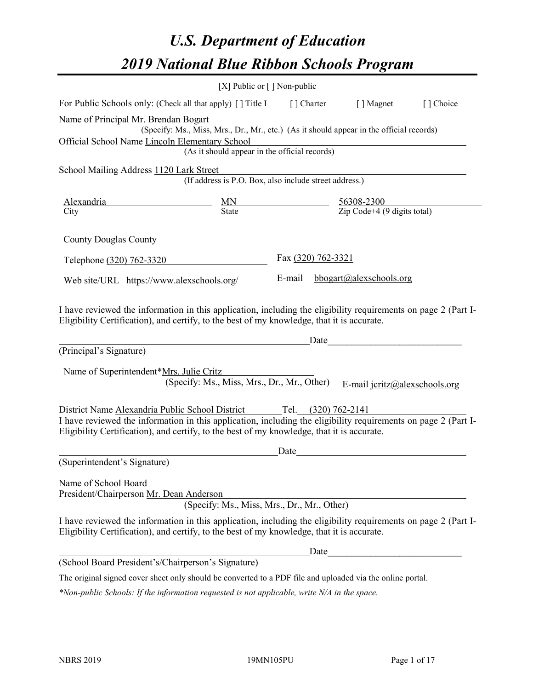# *U.S. Department of Education 2019 National Blue Ribbon Schools Program*

|                                                                                                                                                                                                              | [X] Public or [] Non-public                                                              |                     |             |                                                         |           |
|--------------------------------------------------------------------------------------------------------------------------------------------------------------------------------------------------------------|------------------------------------------------------------------------------------------|---------------------|-------------|---------------------------------------------------------|-----------|
| For Public Schools only: (Check all that apply) [] Title I                                                                                                                                                   |                                                                                          |                     | [ ] Charter | [ ] Magnet                                              | [] Choice |
| Name of Principal Mr. Brendan Bogart                                                                                                                                                                         |                                                                                          |                     |             |                                                         |           |
|                                                                                                                                                                                                              | (Specify: Ms., Miss, Mrs., Dr., Mr., etc.) (As it should appear in the official records) |                     |             |                                                         |           |
| Official School Name Lincoln Elementary School                                                                                                                                                               |                                                                                          |                     |             |                                                         |           |
|                                                                                                                                                                                                              | (As it should appear in the official records)                                            |                     |             |                                                         |           |
| School Mailing Address 1120 Lark Street                                                                                                                                                                      |                                                                                          |                     |             |                                                         |           |
|                                                                                                                                                                                                              | (If address is P.O. Box, also include street address.)                                   |                     |             |                                                         |           |
| Alexandria                                                                                                                                                                                                   |                                                                                          |                     |             |                                                         |           |
| City                                                                                                                                                                                                         | $\frac{MN}{State}$                                                                       |                     |             | $\frac{56308-2300}{\text{Zip Code}+4 (9 digits total)}$ |           |
| County Douglas County                                                                                                                                                                                        |                                                                                          |                     |             |                                                         |           |
|                                                                                                                                                                                                              |                                                                                          |                     |             |                                                         |           |
| Telephone (320) 762-3320                                                                                                                                                                                     |                                                                                          | Fax (320) 762-3321  |             |                                                         |           |
| Web site/URL https://www.alexschools.org/                                                                                                                                                                    |                                                                                          | E-mail              |             | bbogart@alexschools.org                                 |           |
| Eligibility Certification), and certify, to the best of my knowledge, that it is accurate.<br>(Principal's Signature)                                                                                        |                                                                                          |                     | Date        |                                                         |           |
|                                                                                                                                                                                                              |                                                                                          |                     |             |                                                         |           |
| Name of Superintendent*Mrs. Julie Critz                                                                                                                                                                      |                                                                                          |                     |             |                                                         |           |
|                                                                                                                                                                                                              | (Specify: Ms., Miss, Mrs., Dr., Mr., Other)                                              |                     |             | E-mail jcritz@alexschools.org                           |           |
| District Name Alexandria Public School District                                                                                                                                                              |                                                                                          | Tel. (320) 762-2141 |             |                                                         |           |
| I have reviewed the information in this application, including the eligibility requirements on page 2 (Part I-                                                                                               |                                                                                          |                     |             |                                                         |           |
| Eligibility Certification), and certify, to the best of my knowledge, that it is accurate.                                                                                                                   |                                                                                          |                     |             |                                                         |           |
|                                                                                                                                                                                                              |                                                                                          | Date                |             |                                                         |           |
| (Superintendent's Signature)                                                                                                                                                                                 |                                                                                          |                     |             |                                                         |           |
|                                                                                                                                                                                                              |                                                                                          |                     |             |                                                         |           |
| Name of School Board                                                                                                                                                                                         |                                                                                          |                     |             |                                                         |           |
| President/Chairperson Mr. Dean Anderson                                                                                                                                                                      | (Specify: Ms., Miss, Mrs., Dr., Mr., Other)                                              |                     |             |                                                         |           |
|                                                                                                                                                                                                              |                                                                                          |                     |             |                                                         |           |
| I have reviewed the information in this application, including the eligibility requirements on page 2 (Part I-<br>Eligibility Certification), and certify, to the best of my knowledge, that it is accurate. |                                                                                          |                     |             |                                                         |           |
|                                                                                                                                                                                                              |                                                                                          |                     | Date        |                                                         |           |
| (School Board President's/Chairperson's Signature)                                                                                                                                                           |                                                                                          |                     |             |                                                         |           |
| The original signed cover sheet only should be converted to a PDF file and uploaded via the online portal.                                                                                                   |                                                                                          |                     |             |                                                         |           |

*\*Non-public Schools: If the information requested is not applicable, write N/A in the space.*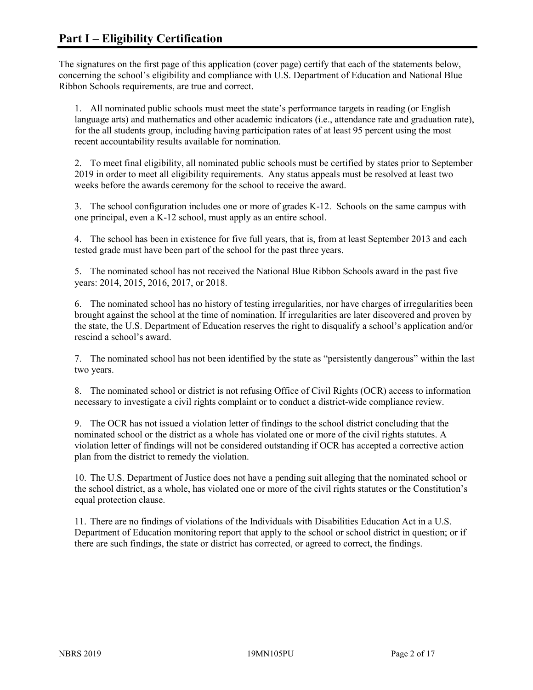The signatures on the first page of this application (cover page) certify that each of the statements below, concerning the school's eligibility and compliance with U.S. Department of Education and National Blue Ribbon Schools requirements, are true and correct.

1. All nominated public schools must meet the state's performance targets in reading (or English language arts) and mathematics and other academic indicators (i.e., attendance rate and graduation rate), for the all students group, including having participation rates of at least 95 percent using the most recent accountability results available for nomination.

2. To meet final eligibility, all nominated public schools must be certified by states prior to September 2019 in order to meet all eligibility requirements. Any status appeals must be resolved at least two weeks before the awards ceremony for the school to receive the award.

3. The school configuration includes one or more of grades K-12. Schools on the same campus with one principal, even a K-12 school, must apply as an entire school.

4. The school has been in existence for five full years, that is, from at least September 2013 and each tested grade must have been part of the school for the past three years.

5. The nominated school has not received the National Blue Ribbon Schools award in the past five years: 2014, 2015, 2016, 2017, or 2018.

6. The nominated school has no history of testing irregularities, nor have charges of irregularities been brought against the school at the time of nomination. If irregularities are later discovered and proven by the state, the U.S. Department of Education reserves the right to disqualify a school's application and/or rescind a school's award.

7. The nominated school has not been identified by the state as "persistently dangerous" within the last two years.

8. The nominated school or district is not refusing Office of Civil Rights (OCR) access to information necessary to investigate a civil rights complaint or to conduct a district-wide compliance review.

9. The OCR has not issued a violation letter of findings to the school district concluding that the nominated school or the district as a whole has violated one or more of the civil rights statutes. A violation letter of findings will not be considered outstanding if OCR has accepted a corrective action plan from the district to remedy the violation.

10. The U.S. Department of Justice does not have a pending suit alleging that the nominated school or the school district, as a whole, has violated one or more of the civil rights statutes or the Constitution's equal protection clause.

11. There are no findings of violations of the Individuals with Disabilities Education Act in a U.S. Department of Education monitoring report that apply to the school or school district in question; or if there are such findings, the state or district has corrected, or agreed to correct, the findings.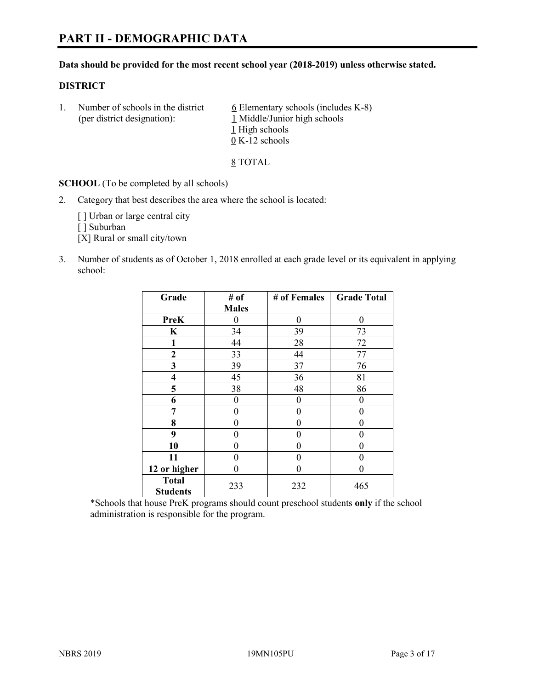# **PART II - DEMOGRAPHIC DATA**

#### **Data should be provided for the most recent school year (2018-2019) unless otherwise stated.**

#### **DISTRICT**

1. Number of schools in the district  $6$  Elementary schools (includes K-8) (per district designation): 1 Middle/Junior high schools 1 High schools 0 K-12 schools

8 TOTAL

**SCHOOL** (To be completed by all schools)

2. Category that best describes the area where the school is located:

[ ] Urban or large central city

[ ] Suburban

[X] Rural or small city/town

3. Number of students as of October 1, 2018 enrolled at each grade level or its equivalent in applying school:

| Grade                           | # of         | # of Females | <b>Grade Total</b> |
|---------------------------------|--------------|--------------|--------------------|
|                                 | <b>Males</b> |              |                    |
| <b>PreK</b>                     | 0            | $\theta$     | 0                  |
| $\mathbf K$                     | 34           | 39           | 73                 |
| 1                               | 44           | 28           | 72                 |
| 2                               | 33           | 44           | 77                 |
| 3                               | 39           | 37           | 76                 |
| $\overline{\mathbf{4}}$         | 45           | 36           | 81                 |
| 5                               | 38           | 48           | 86                 |
| 6                               | 0            | 0            | 0                  |
| 7                               | 0            | $\theta$     | 0                  |
| 8                               | 0            | $\theta$     | 0                  |
| 9                               | 0            | $\theta$     | 0                  |
| 10                              | 0            | 0            | 0                  |
| 11                              | 0            | 0            | 0                  |
| 12 or higher                    | 0            | 0            | 0                  |
| <b>Total</b><br><b>Students</b> | 233          | 232          | 465                |

\*Schools that house PreK programs should count preschool students **only** if the school administration is responsible for the program.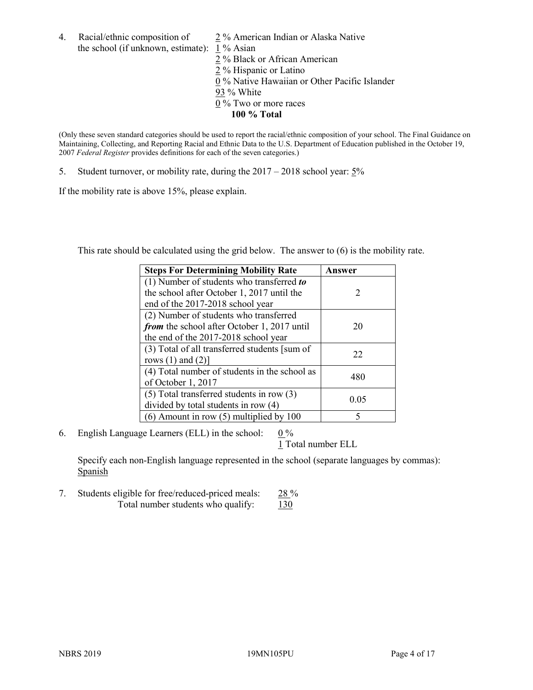4. Racial/ethnic composition of  $\frac{2}{3}$ % American Indian or Alaska Native the school (if unknown, estimate): 1 % Asian

2 % Black or African American  $\frac{2}{2}$  % Hispanic or Latino 0 % Native Hawaiian or Other Pacific Islander 93 % White 0 % Two or more races **100 % Total**

(Only these seven standard categories should be used to report the racial/ethnic composition of your school. The Final Guidance on Maintaining, Collecting, and Reporting Racial and Ethnic Data to the U.S. Department of Education published in the October 19, 2007 *Federal Register* provides definitions for each of the seven categories.)

5. Student turnover, or mobility rate, during the 2017 – 2018 school year: 5%

If the mobility rate is above 15%, please explain.

This rate should be calculated using the grid below. The answer to (6) is the mobility rate.

| <b>Steps For Determining Mobility Rate</b>    | Answer                      |
|-----------------------------------------------|-----------------------------|
| (1) Number of students who transferred to     |                             |
| the school after October 1, 2017 until the    | $\mathcal{D}_{\mathcal{L}}$ |
| end of the 2017-2018 school year              |                             |
| (2) Number of students who transferred        |                             |
| from the school after October 1, 2017 until   | 20                          |
| the end of the 2017-2018 school year          |                             |
| (3) Total of all transferred students [sum of | 22                          |
| rows $(1)$ and $(2)$ ]                        |                             |
| (4) Total number of students in the school as | 480                         |
| of October 1, 2017                            |                             |
| $(5)$ Total transferred students in row $(3)$ | 0.05                        |
| divided by total students in row (4)          |                             |
| $(6)$ Amount in row $(5)$ multiplied by 100   | 5                           |

6. English Language Learners (ELL) in the school:  $0\%$ 

1 Total number ELL

Specify each non-English language represented in the school (separate languages by commas): **Spanish** 

7. Students eligible for free/reduced-priced meals: 28 % Total number students who qualify:  $130$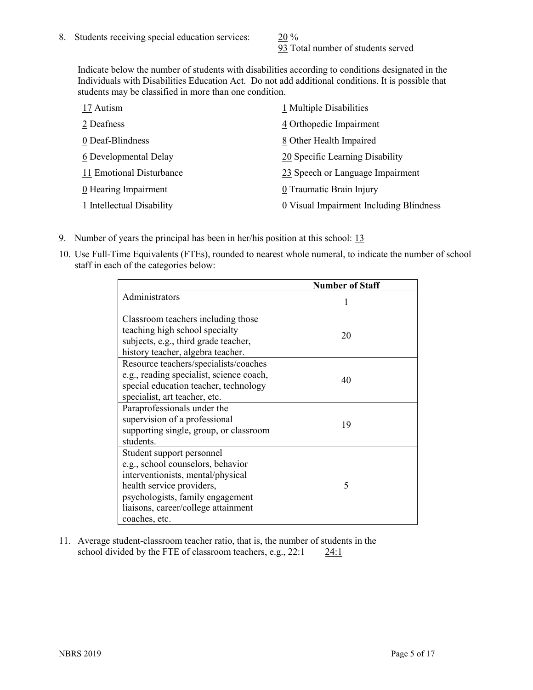93 Total number of students served

Indicate below the number of students with disabilities according to conditions designated in the Individuals with Disabilities Education Act. Do not add additional conditions. It is possible that students may be classified in more than one condition.

| 17 Autism                 | 1 Multiple Disabilities                 |
|---------------------------|-----------------------------------------|
| 2 Deafness                | 4 Orthopedic Impairment                 |
| 0 Deaf-Blindness          | 8 Other Health Impaired                 |
| 6 Developmental Delay     | 20 Specific Learning Disability         |
| 11 Emotional Disturbance  | 23 Speech or Language Impairment        |
| 0 Hearing Impairment      | 0 Traumatic Brain Injury                |
| 1 Intellectual Disability | 0 Visual Impairment Including Blindness |

- 9. Number of years the principal has been in her/his position at this school: 13
- 10. Use Full-Time Equivalents (FTEs), rounded to nearest whole numeral, to indicate the number of school staff in each of the categories below:

|                                                                                                                                                                                                                              | <b>Number of Staff</b> |
|------------------------------------------------------------------------------------------------------------------------------------------------------------------------------------------------------------------------------|------------------------|
| Administrators                                                                                                                                                                                                               |                        |
| Classroom teachers including those<br>teaching high school specialty<br>subjects, e.g., third grade teacher,<br>history teacher, algebra teacher.                                                                            | 20                     |
| Resource teachers/specialists/coaches<br>e.g., reading specialist, science coach,<br>special education teacher, technology<br>specialist, art teacher, etc.                                                                  | 40                     |
| Paraprofessionals under the<br>supervision of a professional<br>supporting single, group, or classroom<br>students.                                                                                                          | 19                     |
| Student support personnel<br>e.g., school counselors, behavior<br>interventionists, mental/physical<br>health service providers,<br>psychologists, family engagement<br>liaisons, career/college attainment<br>coaches, etc. | 5                      |

11. Average student-classroom teacher ratio, that is, the number of students in the school divided by the FTE of classroom teachers, e.g., 22:1 24:1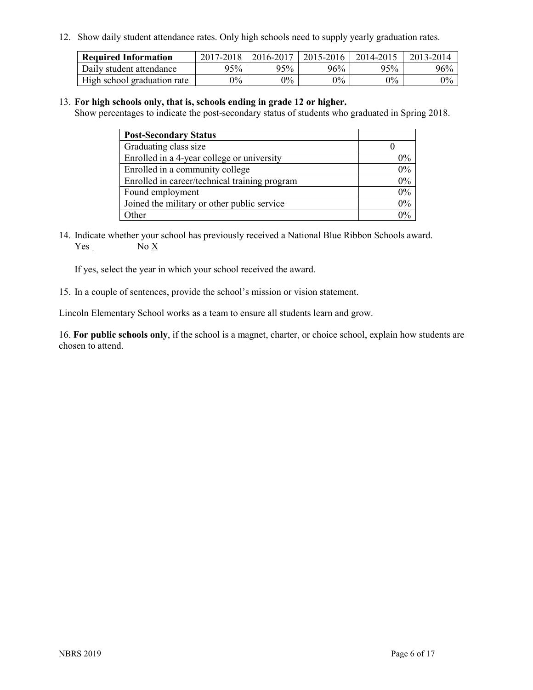12. Show daily student attendance rates. Only high schools need to supply yearly graduation rates.

| <b>Required Information</b> | 2017-2018 | 2016-2017 | 2015-2016 | 2014-2015 | 2013-2014 |
|-----------------------------|-----------|-----------|-----------|-----------|-----------|
| Daily student attendance    | 95%       | 95%       | $96\%$    | 95%       | 96%       |
| High school graduation rate | $0\%$     | $0\%$     | $0\%$     | $9\%$     | $0\%$     |

#### 13. **For high schools only, that is, schools ending in grade 12 or higher.**

Show percentages to indicate the post-secondary status of students who graduated in Spring 2018.

| <b>Post-Secondary Status</b>                  |       |
|-----------------------------------------------|-------|
| Graduating class size                         |       |
| Enrolled in a 4-year college or university    | $0\%$ |
| Enrolled in a community college               | 0%    |
| Enrolled in career/technical training program | 0%    |
| Found employment                              | 0%    |
| Joined the military or other public service   | 0%    |
| Other                                         | $0\%$ |

14. Indicate whether your school has previously received a National Blue Ribbon Schools award. Yes No X

If yes, select the year in which your school received the award.

15. In a couple of sentences, provide the school's mission or vision statement.

Lincoln Elementary School works as a team to ensure all students learn and grow.

16. **For public schools only**, if the school is a magnet, charter, or choice school, explain how students are chosen to attend.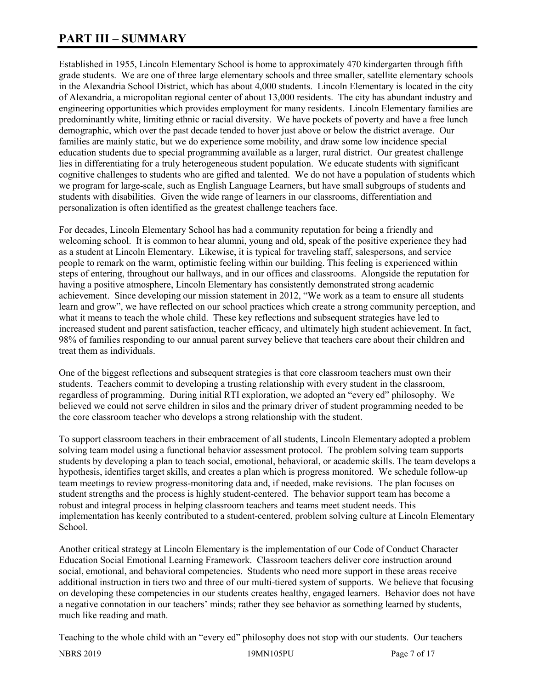# **PART III – SUMMARY**

Established in 1955, Lincoln Elementary School is home to approximately 470 kindergarten through fifth grade students. We are one of three large elementary schools and three smaller, satellite elementary schools in the Alexandria School District, which has about 4,000 students. Lincoln Elementary is located in the city of Alexandria, a micropolitan regional center of about 13,000 residents. The city has abundant industry and engineering opportunities which provides employment for many residents. Lincoln Elementary families are predominantly white, limiting ethnic or racial diversity. We have pockets of poverty and have a free lunch demographic, which over the past decade tended to hover just above or below the district average. Our families are mainly static, but we do experience some mobility, and draw some low incidence special education students due to special programming available as a larger, rural district. Our greatest challenge lies in differentiating for a truly heterogeneous student population. We educate students with significant cognitive challenges to students who are gifted and talented. We do not have a population of students which we program for large-scale, such as English Language Learners, but have small subgroups of students and students with disabilities. Given the wide range of learners in our classrooms, differentiation and personalization is often identified as the greatest challenge teachers face.

For decades, Lincoln Elementary School has had a community reputation for being a friendly and welcoming school. It is common to hear alumni, young and old, speak of the positive experience they had as a student at Lincoln Elementary. Likewise, it is typical for traveling staff, salespersons, and service people to remark on the warm, optimistic feeling within our building. This feeling is experienced within steps of entering, throughout our hallways, and in our offices and classrooms. Alongside the reputation for having a positive atmosphere, Lincoln Elementary has consistently demonstrated strong academic achievement. Since developing our mission statement in 2012, "We work as a team to ensure all students learn and grow", we have reflected on our school practices which create a strong community perception, and what it means to teach the whole child. These key reflections and subsequent strategies have led to increased student and parent satisfaction, teacher efficacy, and ultimately high student achievement. In fact, 98% of families responding to our annual parent survey believe that teachers care about their children and treat them as individuals.

One of the biggest reflections and subsequent strategies is that core classroom teachers must own their students. Teachers commit to developing a trusting relationship with every student in the classroom, regardless of programming. During initial RTI exploration, we adopted an "every ed" philosophy. We believed we could not serve children in silos and the primary driver of student programming needed to be the core classroom teacher who develops a strong relationship with the student.

To support classroom teachers in their embracement of all students, Lincoln Elementary adopted a problem solving team model using a functional behavior assessment protocol. The problem solving team supports students by developing a plan to teach social, emotional, behavioral, or academic skills. The team develops a hypothesis, identifies target skills, and creates a plan which is progress monitored. We schedule follow-up team meetings to review progress-monitoring data and, if needed, make revisions. The plan focuses on student strengths and the process is highly student-centered. The behavior support team has become a robust and integral process in helping classroom teachers and teams meet student needs. This implementation has keenly contributed to a student-centered, problem solving culture at Lincoln Elementary School.

Another critical strategy at Lincoln Elementary is the implementation of our Code of Conduct Character Education Social Emotional Learning Framework. Classroom teachers deliver core instruction around social, emotional, and behavioral competencies. Students who need more support in these areas receive additional instruction in tiers two and three of our multi-tiered system of supports. We believe that focusing on developing these competencies in our students creates healthy, engaged learners. Behavior does not have a negative connotation in our teachers' minds; rather they see behavior as something learned by students, much like reading and math.

Teaching to the whole child with an "every ed" philosophy does not stop with our students. Our teachers

NBRS 2019 19MN105PU Page 7 of 17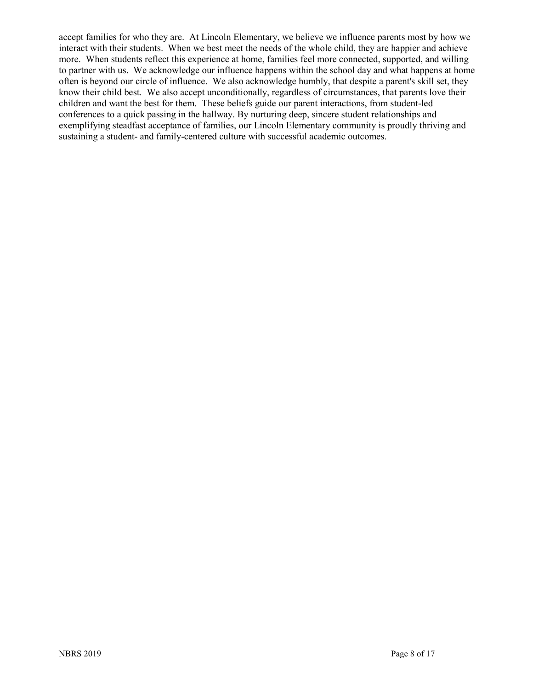accept families for who they are. At Lincoln Elementary, we believe we influence parents most by how we interact with their students. When we best meet the needs of the whole child, they are happier and achieve more. When students reflect this experience at home, families feel more connected, supported, and willing to partner with us. We acknowledge our influence happens within the school day and what happens at home often is beyond our circle of influence. We also acknowledge humbly, that despite a parent's skill set, they know their child best. We also accept unconditionally, regardless of circumstances, that parents love their children and want the best for them. These beliefs guide our parent interactions, from student-led conferences to a quick passing in the hallway. By nurturing deep, sincere student relationships and exemplifying steadfast acceptance of families, our Lincoln Elementary community is proudly thriving and sustaining a student- and family-centered culture with successful academic outcomes.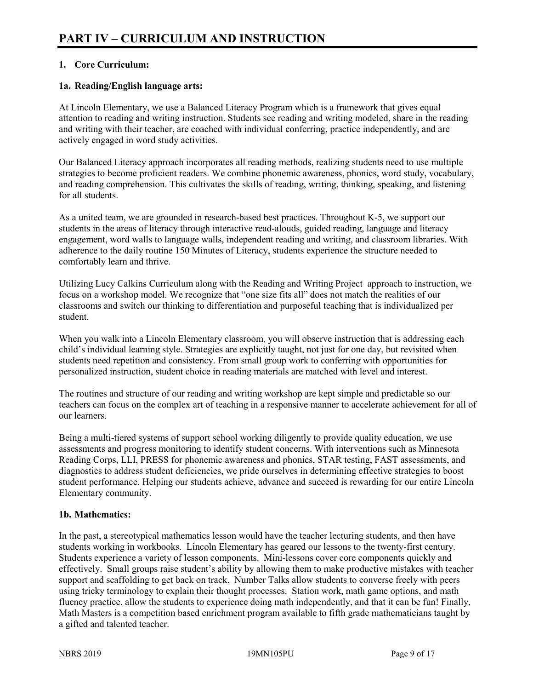## **1. Core Curriculum:**

## **1a. Reading/English language arts:**

At Lincoln Elementary, we use a Balanced Literacy Program which is a framework that gives equal attention to reading and writing instruction. Students see reading and writing modeled, share in the reading and writing with their teacher, are coached with individual conferring, practice independently, and are actively engaged in word study activities.

Our Balanced Literacy approach incorporates all reading methods, realizing students need to use multiple strategies to become proficient readers. We combine phonemic awareness, phonics, word study, vocabulary, and reading comprehension. This cultivates the skills of reading, writing, thinking, speaking, and listening for all students.

As a united team, we are grounded in research-based best practices. Throughout K-5, we support our students in the areas of literacy through interactive read-alouds, guided reading, language and literacy engagement, word walls to language walls, independent reading and writing, and classroom libraries. With adherence to the daily routine 150 Minutes of Literacy, students experience the structure needed to comfortably learn and thrive.

Utilizing Lucy Calkins Curriculum along with the Reading and Writing Project approach to instruction, we focus on a workshop model. We recognize that "one size fits all" does not match the realities of our classrooms and switch our thinking to differentiation and purposeful teaching that is individualized per student.

When you walk into a Lincoln Elementary classroom, you will observe instruction that is addressing each child's individual learning style. Strategies are explicitly taught, not just for one day, but revisited when students need repetition and consistency. From small group work to conferring with opportunities for personalized instruction, student choice in reading materials are matched with level and interest.

The routines and structure of our reading and writing workshop are kept simple and predictable so our teachers can focus on the complex art of teaching in a responsive manner to accelerate achievement for all of our learners.

Being a multi-tiered systems of support school working diligently to provide quality education, we use assessments and progress monitoring to identify student concerns. With interventions such as Minnesota Reading Corps, LLI, PRESS for phonemic awareness and phonics, STAR testing, FAST assessments, and diagnostics to address student deficiencies, we pride ourselves in determining effective strategies to boost student performance. Helping our students achieve, advance and succeed is rewarding for our entire Lincoln Elementary community.

## **1b. Mathematics:**

In the past, a stereotypical mathematics lesson would have the teacher lecturing students, and then have students working in workbooks. Lincoln Elementary has geared our lessons to the twenty-first century. Students experience a variety of lesson components. Mini-lessons cover core components quickly and effectively. Small groups raise student's ability by allowing them to make productive mistakes with teacher support and scaffolding to get back on track. Number Talks allow students to converse freely with peers using tricky terminology to explain their thought processes. Station work, math game options, and math fluency practice, allow the students to experience doing math independently, and that it can be fun! Finally, Math Masters is a competition based enrichment program available to fifth grade mathematicians taught by a gifted and talented teacher.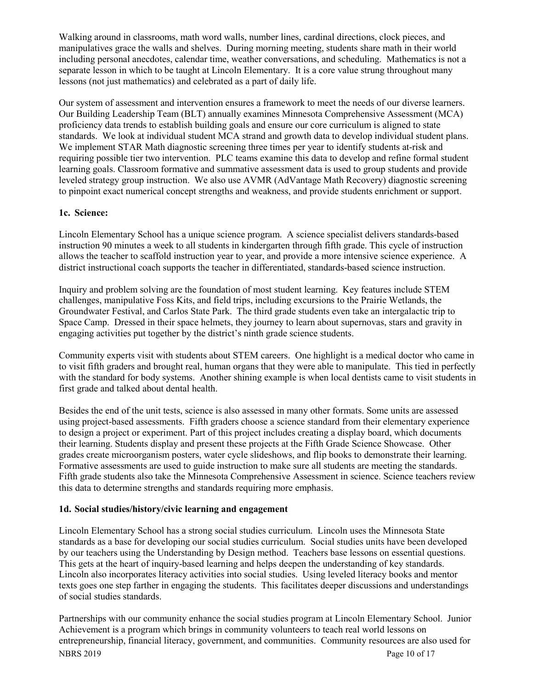Walking around in classrooms, math word walls, number lines, cardinal directions, clock pieces, and manipulatives grace the walls and shelves. During morning meeting, students share math in their world including personal anecdotes, calendar time, weather conversations, and scheduling. Mathematics is not a separate lesson in which to be taught at Lincoln Elementary. It is a core value strung throughout many lessons (not just mathematics) and celebrated as a part of daily life.

Our system of assessment and intervention ensures a framework to meet the needs of our diverse learners. Our Building Leadership Team (BLT) annually examines Minnesota Comprehensive Assessment (MCA) proficiency data trends to establish building goals and ensure our core curriculum is aligned to state standards. We look at individual student MCA strand and growth data to develop individual student plans. We implement STAR Math diagnostic screening three times per year to identify students at-risk and requiring possible tier two intervention. PLC teams examine this data to develop and refine formal student learning goals. Classroom formative and summative assessment data is used to group students and provide leveled strategy group instruction. We also use AVMR (AdVantage Math Recovery) diagnostic screening to pinpoint exact numerical concept strengths and weakness, and provide students enrichment or support.

## **1c. Science:**

Lincoln Elementary School has a unique science program. A science specialist delivers standards-based instruction 90 minutes a week to all students in kindergarten through fifth grade. This cycle of instruction allows the teacher to scaffold instruction year to year, and provide a more intensive science experience. A district instructional coach supports the teacher in differentiated, standards-based science instruction.

Inquiry and problem solving are the foundation of most student learning. Key features include STEM challenges, manipulative Foss Kits, and field trips, including excursions to the Prairie Wetlands, the Groundwater Festival, and Carlos State Park. The third grade students even take an intergalactic trip to Space Camp. Dressed in their space helmets, they journey to learn about supernovas, stars and gravity in engaging activities put together by the district's ninth grade science students.

Community experts visit with students about STEM careers. One highlight is a medical doctor who came in to visit fifth graders and brought real, human organs that they were able to manipulate. This tied in perfectly with the standard for body systems. Another shining example is when local dentists came to visit students in first grade and talked about dental health.

Besides the end of the unit tests, science is also assessed in many other formats. Some units are assessed using project-based assessments. Fifth graders choose a science standard from their elementary experience to design a project or experiment. Part of this project includes creating a display board, which documents their learning. Students display and present these projects at the Fifth Grade Science Showcase. Other grades create microorganism posters, water cycle slideshows, and flip books to demonstrate their learning. Formative assessments are used to guide instruction to make sure all students are meeting the standards. Fifth grade students also take the Minnesota Comprehensive Assessment in science. Science teachers review this data to determine strengths and standards requiring more emphasis.

## **1d. Social studies/history/civic learning and engagement**

Lincoln Elementary School has a strong social studies curriculum. Lincoln uses the Minnesota State standards as a base for developing our social studies curriculum. Social studies units have been developed by our teachers using the Understanding by Design method. Teachers base lessons on essential questions. This gets at the heart of inquiry-based learning and helps deepen the understanding of key standards. Lincoln also incorporates literacy activities into social studies. Using leveled literacy books and mentor texts goes one step farther in engaging the students. This facilitates deeper discussions and understandings of social studies standards.

NBRS 2019 Page 10 of 17 Partnerships with our community enhance the social studies program at Lincoln Elementary School. Junior Achievement is a program which brings in community volunteers to teach real world lessons on entrepreneurship, financial literacy, government, and communities. Community resources are also used for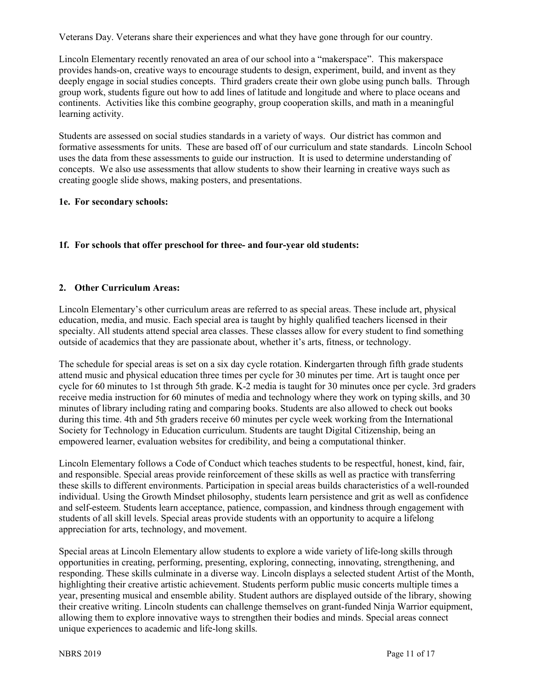Veterans Day. Veterans share their experiences and what they have gone through for our country.

Lincoln Elementary recently renovated an area of our school into a "makerspace". This makerspace provides hands-on, creative ways to encourage students to design, experiment, build, and invent as they deeply engage in social studies concepts. Third graders create their own globe using punch balls. Through group work, students figure out how to add lines of latitude and longitude and where to place oceans and continents. Activities like this combine geography, group cooperation skills, and math in a meaningful learning activity.

Students are assessed on social studies standards in a variety of ways. Our district has common and formative assessments for units. These are based off of our curriculum and state standards. Lincoln School uses the data from these assessments to guide our instruction. It is used to determine understanding of concepts. We also use assessments that allow students to show their learning in creative ways such as creating google slide shows, making posters, and presentations.

#### **1e. For secondary schools:**

## **1f. For schools that offer preschool for three- and four-year old students:**

## **2. Other Curriculum Areas:**

Lincoln Elementary's other curriculum areas are referred to as special areas. These include art, physical education, media, and music. Each special area is taught by highly qualified teachers licensed in their specialty. All students attend special area classes. These classes allow for every student to find something outside of academics that they are passionate about, whether it's arts, fitness, or technology.

The schedule for special areas is set on a six day cycle rotation. Kindergarten through fifth grade students attend music and physical education three times per cycle for 30 minutes per time. Art is taught once per cycle for 60 minutes to 1st through 5th grade. K-2 media is taught for 30 minutes once per cycle. 3rd graders receive media instruction for 60 minutes of media and technology where they work on typing skills, and 30 minutes of library including rating and comparing books. Students are also allowed to check out books during this time. 4th and 5th graders receive 60 minutes per cycle week working from the International Society for Technology in Education curriculum. Students are taught Digital Citizenship, being an empowered learner, evaluation websites for credibility, and being a computational thinker.

Lincoln Elementary follows a Code of Conduct which teaches students to be respectful, honest, kind, fair, and responsible. Special areas provide reinforcement of these skills as well as practice with transferring these skills to different environments. Participation in special areas builds characteristics of a well-rounded individual. Using the Growth Mindset philosophy, students learn persistence and grit as well as confidence and self-esteem. Students learn acceptance, patience, compassion, and kindness through engagement with students of all skill levels. Special areas provide students with an opportunity to acquire a lifelong appreciation for arts, technology, and movement.

Special areas at Lincoln Elementary allow students to explore a wide variety of life-long skills through opportunities in creating, performing, presenting, exploring, connecting, innovating, strengthening, and responding. These skills culminate in a diverse way. Lincoln displays a selected student Artist of the Month, highlighting their creative artistic achievement. Students perform public music concerts multiple times a year, presenting musical and ensemble ability. Student authors are displayed outside of the library, showing their creative writing. Lincoln students can challenge themselves on grant-funded Ninja Warrior equipment, allowing them to explore innovative ways to strengthen their bodies and minds. Special areas connect unique experiences to academic and life-long skills.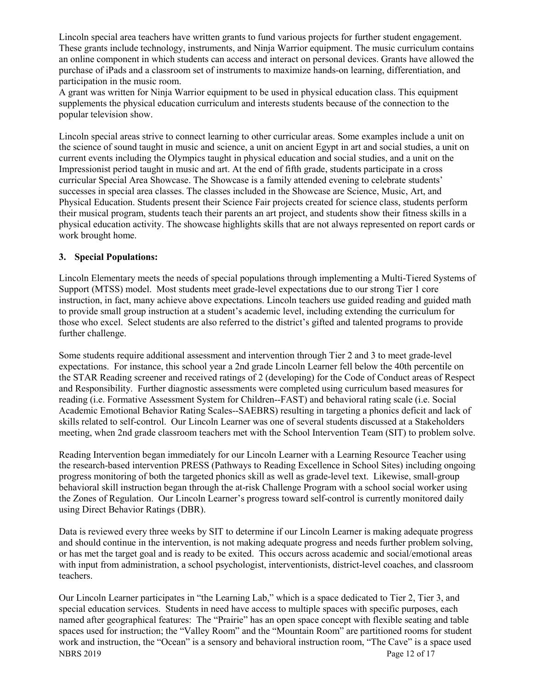Lincoln special area teachers have written grants to fund various projects for further student engagement. These grants include technology, instruments, and Ninja Warrior equipment. The music curriculum contains an online component in which students can access and interact on personal devices. Grants have allowed the purchase of iPads and a classroom set of instruments to maximize hands-on learning, differentiation, and participation in the music room.

A grant was written for Ninja Warrior equipment to be used in physical education class. This equipment supplements the physical education curriculum and interests students because of the connection to the popular television show.

Lincoln special areas strive to connect learning to other curricular areas. Some examples include a unit on the science of sound taught in music and science, a unit on ancient Egypt in art and social studies, a unit on current events including the Olympics taught in physical education and social studies, and a unit on the Impressionist period taught in music and art. At the end of fifth grade, students participate in a cross curricular Special Area Showcase. The Showcase is a family attended evening to celebrate students' successes in special area classes. The classes included in the Showcase are Science, Music, Art, and Physical Education. Students present their Science Fair projects created for science class, students perform their musical program, students teach their parents an art project, and students show their fitness skills in a physical education activity. The showcase highlights skills that are not always represented on report cards or work brought home.

#### **3. Special Populations:**

Lincoln Elementary meets the needs of special populations through implementing a Multi-Tiered Systems of Support (MTSS) model. Most students meet grade-level expectations due to our strong Tier 1 core instruction, in fact, many achieve above expectations. Lincoln teachers use guided reading and guided math to provide small group instruction at a student's academic level, including extending the curriculum for those who excel. Select students are also referred to the district's gifted and talented programs to provide further challenge.

Some students require additional assessment and intervention through Tier 2 and 3 to meet grade-level expectations. For instance, this school year a 2nd grade Lincoln Learner fell below the 40th percentile on the STAR Reading screener and received ratings of 2 (developing) for the Code of Conduct areas of Respect and Responsibility. Further diagnostic assessments were completed using curriculum based measures for reading (i.e. Formative Assessment System for Children--FAST) and behavioral rating scale (i.e. Social Academic Emotional Behavior Rating Scales--SAEBRS) resulting in targeting a phonics deficit and lack of skills related to self-control. Our Lincoln Learner was one of several students discussed at a Stakeholders meeting, when 2nd grade classroom teachers met with the School Intervention Team (SIT) to problem solve.

Reading Intervention began immediately for our Lincoln Learner with a Learning Resource Teacher using the research-based intervention PRESS (Pathways to Reading Excellence in School Sites) including ongoing progress monitoring of both the targeted phonics skill as well as grade-level text. Likewise, small-group behavioral skill instruction began through the at-risk Challenge Program with a school social worker using the Zones of Regulation. Our Lincoln Learner's progress toward self-control is currently monitored daily using Direct Behavior Ratings (DBR).

Data is reviewed every three weeks by SIT to determine if our Lincoln Learner is making adequate progress and should continue in the intervention, is not making adequate progress and needs further problem solving, or has met the target goal and is ready to be exited. This occurs across academic and social/emotional areas with input from administration, a school psychologist, interventionists, district-level coaches, and classroom teachers.

NBRS 2019 Page 12 of 17 Our Lincoln Learner participates in "the Learning Lab," which is a space dedicated to Tier 2, Tier 3, and special education services. Students in need have access to multiple spaces with specific purposes, each named after geographical features: The "Prairie" has an open space concept with flexible seating and table spaces used for instruction; the "Valley Room" and the "Mountain Room" are partitioned rooms for student work and instruction, the "Ocean" is a sensory and behavioral instruction room, "The Cave" is a space used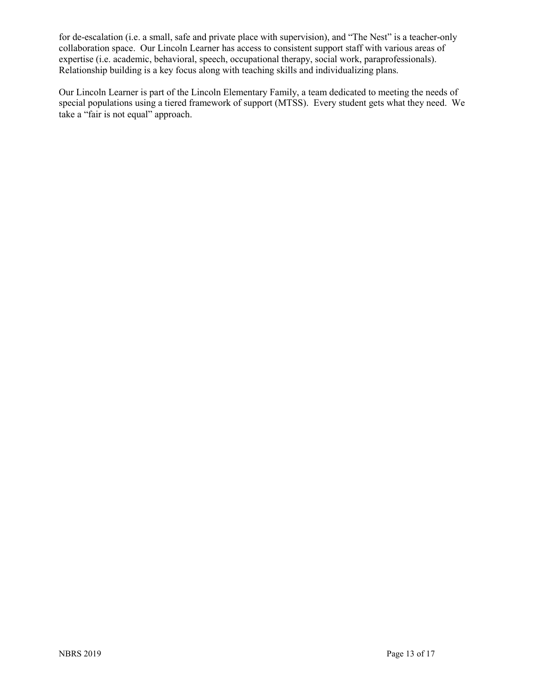for de-escalation (i.e. a small, safe and private place with supervision), and "The Nest" is a teacher-only collaboration space. Our Lincoln Learner has access to consistent support staff with various areas of expertise (i.e. academic, behavioral, speech, occupational therapy, social work, paraprofessionals). Relationship building is a key focus along with teaching skills and individualizing plans.

Our Lincoln Learner is part of the Lincoln Elementary Family, a team dedicated to meeting the needs of special populations using a tiered framework of support (MTSS). Every student gets what they need. We take a "fair is not equal" approach.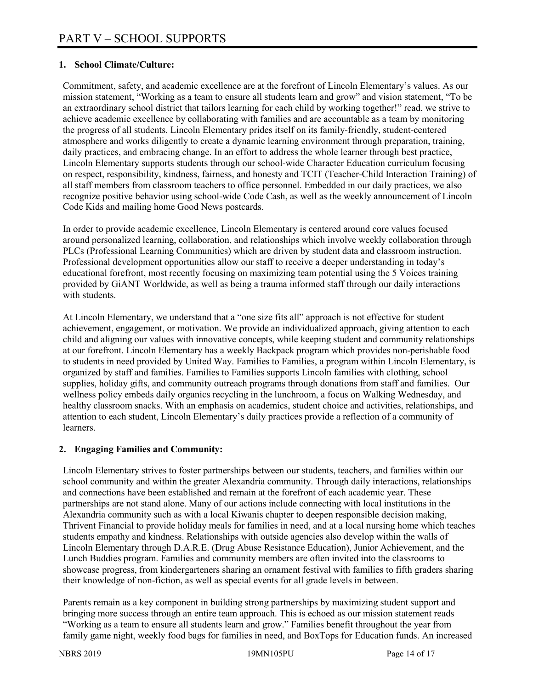## **1. School Climate/Culture:**

Commitment, safety, and academic excellence are at the forefront of Lincoln Elementary's values. As our mission statement, "Working as a team to ensure all students learn and grow" and vision statement, "To be an extraordinary school district that tailors learning for each child by working together!" read, we strive to achieve academic excellence by collaborating with families and are accountable as a team by monitoring the progress of all students. Lincoln Elementary prides itself on its family-friendly, student-centered atmosphere and works diligently to create a dynamic learning environment through preparation, training, daily practices, and embracing change. In an effort to address the whole learner through best practice, Lincoln Elementary supports students through our school-wide Character Education curriculum focusing on respect, responsibility, kindness, fairness, and honesty and TCIT (Teacher-Child Interaction Training) of all staff members from classroom teachers to office personnel. Embedded in our daily practices, we also recognize positive behavior using school-wide Code Cash, as well as the weekly announcement of Lincoln Code Kids and mailing home Good News postcards.

In order to provide academic excellence, Lincoln Elementary is centered around core values focused around personalized learning, collaboration, and relationships which involve weekly collaboration through PLCs (Professional Learning Communities) which are driven by student data and classroom instruction. Professional development opportunities allow our staff to receive a deeper understanding in today's educational forefront, most recently focusing on maximizing team potential using the 5 Voices training provided by GiANT Worldwide, as well as being a trauma informed staff through our daily interactions with students.

At Lincoln Elementary, we understand that a "one size fits all" approach is not effective for student achievement, engagement, or motivation. We provide an individualized approach, giving attention to each child and aligning our values with innovative concepts, while keeping student and community relationships at our forefront. Lincoln Elementary has a weekly Backpack program which provides non-perishable food to students in need provided by United Way. Families to Families, a program within Lincoln Elementary, is organized by staff and families. Families to Families supports Lincoln families with clothing, school supplies, holiday gifts, and community outreach programs through donations from staff and families. Our wellness policy embeds daily organics recycling in the lunchroom, a focus on Walking Wednesday, and healthy classroom snacks. With an emphasis on academics, student choice and activities, relationships, and attention to each student, Lincoln Elementary's daily practices provide a reflection of a community of learners.

#### **2. Engaging Families and Community:**

Lincoln Elementary strives to foster partnerships between our students, teachers, and families within our school community and within the greater Alexandria community. Through daily interactions, relationships and connections have been established and remain at the forefront of each academic year. These partnerships are not stand alone. Many of our actions include connecting with local institutions in the Alexandria community such as with a local Kiwanis chapter to deepen responsible decision making, Thrivent Financial to provide holiday meals for families in need, and at a local nursing home which teaches students empathy and kindness. Relationships with outside agencies also develop within the walls of Lincoln Elementary through D.A.R.E. (Drug Abuse Resistance Education), Junior Achievement, and the Lunch Buddies program. Families and community members are often invited into the classrooms to showcase progress, from kindergarteners sharing an ornament festival with families to fifth graders sharing their knowledge of non-fiction, as well as special events for all grade levels in between.

Parents remain as a key component in building strong partnerships by maximizing student support and bringing more success through an entire team approach. This is echoed as our mission statement reads "Working as a team to ensure all students learn and grow." Families benefit throughout the year from family game night, weekly food bags for families in need, and BoxTops for Education funds. An increased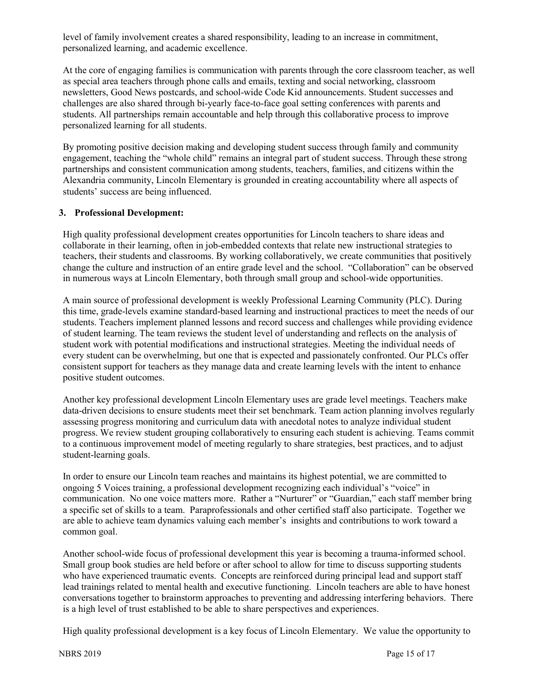level of family involvement creates a shared responsibility, leading to an increase in commitment, personalized learning, and academic excellence.

At the core of engaging families is communication with parents through the core classroom teacher, as well as special area teachers through phone calls and emails, texting and social networking, classroom newsletters, Good News postcards, and school-wide Code Kid announcements. Student successes and challenges are also shared through bi-yearly face-to-face goal setting conferences with parents and students. All partnerships remain accountable and help through this collaborative process to improve personalized learning for all students.

By promoting positive decision making and developing student success through family and community engagement, teaching the "whole child" remains an integral part of student success. Through these strong partnerships and consistent communication among students, teachers, families, and citizens within the Alexandria community, Lincoln Elementary is grounded in creating accountability where all aspects of students' success are being influenced.

#### **3. Professional Development:**

High quality professional development creates opportunities for Lincoln teachers to share ideas and collaborate in their learning, often in job-embedded contexts that relate new instructional strategies to teachers, their students and classrooms. By working collaboratively, we create communities that positively change the culture and instruction of an entire grade level and the school. "Collaboration" can be observed in numerous ways at Lincoln Elementary, both through small group and school-wide opportunities.

A main source of professional development is weekly Professional Learning Community (PLC). During this time, grade-levels examine standard-based learning and instructional practices to meet the needs of our students. Teachers implement planned lessons and record success and challenges while providing evidence of student learning. The team reviews the student level of understanding and reflects on the analysis of student work with potential modifications and instructional strategies. Meeting the individual needs of every student can be overwhelming, but one that is expected and passionately confronted. Our PLCs offer consistent support for teachers as they manage data and create learning levels with the intent to enhance positive student outcomes.

Another key professional development Lincoln Elementary uses are grade level meetings. Teachers make data-driven decisions to ensure students meet their set benchmark. Team action planning involves regularly assessing progress monitoring and curriculum data with anecdotal notes to analyze individual student progress. We review student grouping collaboratively to ensuring each student is achieving. Teams commit to a continuous improvement model of meeting regularly to share strategies, best practices, and to adjust student-learning goals.

In order to ensure our Lincoln team reaches and maintains its highest potential, we are committed to ongoing 5 Voices training, a professional development recognizing each individual's "voice" in communication. No one voice matters more. Rather a "Nurturer" or "Guardian," each staff member bring a specific set of skills to a team. Paraprofessionals and other certified staff also participate. Together we are able to achieve team dynamics valuing each member's insights and contributions to work toward a common goal.

Another school-wide focus of professional development this year is becoming a trauma-informed school. Small group book studies are held before or after school to allow for time to discuss supporting students who have experienced traumatic events. Concepts are reinforced during principal lead and support staff lead trainings related to mental health and executive functioning. Lincoln teachers are able to have honest conversations together to brainstorm approaches to preventing and addressing interfering behaviors. There is a high level of trust established to be able to share perspectives and experiences.

High quality professional development is a key focus of Lincoln Elementary. We value the opportunity to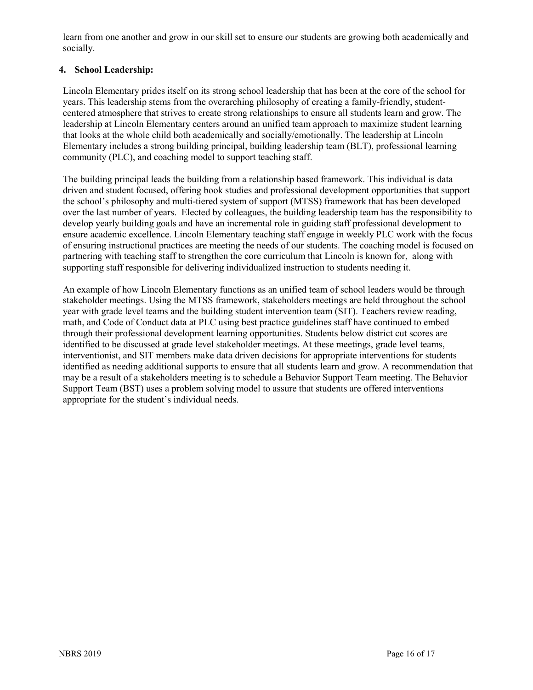learn from one another and grow in our skill set to ensure our students are growing both academically and socially.

## **4. School Leadership:**

Lincoln Elementary prides itself on its strong school leadership that has been at the core of the school for years. This leadership stems from the overarching philosophy of creating a family-friendly, studentcentered atmosphere that strives to create strong relationships to ensure all students learn and grow. The leadership at Lincoln Elementary centers around an unified team approach to maximize student learning that looks at the whole child both academically and socially/emotionally. The leadership at Lincoln Elementary includes a strong building principal, building leadership team (BLT), professional learning community (PLC), and coaching model to support teaching staff.

The building principal leads the building from a relationship based framework. This individual is data driven and student focused, offering book studies and professional development opportunities that support the school's philosophy and multi-tiered system of support (MTSS) framework that has been developed over the last number of years. Elected by colleagues, the building leadership team has the responsibility to develop yearly building goals and have an incremental role in guiding staff professional development to ensure academic excellence. Lincoln Elementary teaching staff engage in weekly PLC work with the focus of ensuring instructional practices are meeting the needs of our students. The coaching model is focused on partnering with teaching staff to strengthen the core curriculum that Lincoln is known for, along with supporting staff responsible for delivering individualized instruction to students needing it.

An example of how Lincoln Elementary functions as an unified team of school leaders would be through stakeholder meetings. Using the MTSS framework, stakeholders meetings are held throughout the school year with grade level teams and the building student intervention team (SIT). Teachers review reading, math, and Code of Conduct data at PLC using best practice guidelines staff have continued to embed through their professional development learning opportunities. Students below district cut scores are identified to be discussed at grade level stakeholder meetings. At these meetings, grade level teams, interventionist, and SIT members make data driven decisions for appropriate interventions for students identified as needing additional supports to ensure that all students learn and grow. A recommendation that may be a result of a stakeholders meeting is to schedule a Behavior Support Team meeting. The Behavior Support Team (BST) uses a problem solving model to assure that students are offered interventions appropriate for the student's individual needs.